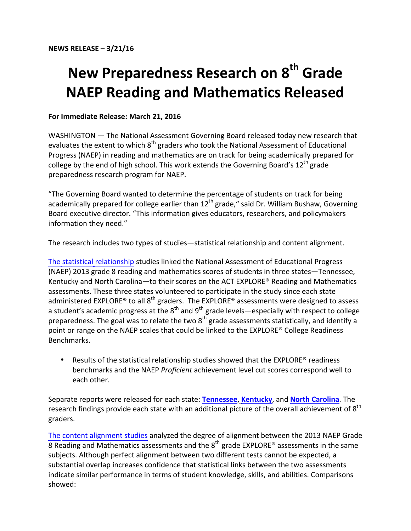## **New Preparedness Research on 8<sup>th</sup> Grade NAEP Reading and Mathematics Released**

## **For Immediate Release: March 21, 2016**

WASHINGTON — The National Assessment Governing Board released today new research that evaluates the extent to which 8<sup>th</sup> graders who took the National Assessment of Educational Progress (NAEP) in reading and mathematics are on track for being academically prepared for college by the end of high school. This work extends the Governing Board's 12<sup>th</sup> grade preparedness research program for NAEP. 

"The Governing Board wanted to determine the percentage of students on track for being academically prepared for college earlier than  $12<sup>th</sup>$  grade," said Dr. William Bushaw, Governing Board executive director. "This information gives educators, researchers, and policymakers information they need."

The research includes two types of studies—statistical relationship and content alignment.

The statistical [relationship](https://www.nagb.org/what-we-do/preparedness-research/types-of-research/8th-grade-report.html) studies linked the National Assessment of Educational Progress (NAEP) 2013 grade 8 reading and mathematics scores of students in three states—Tennessee, Kentucky and North Carolina—to their scores on the ACT EXPLORE® Reading and Mathematics assessments. These three states volunteered to participate in the study since each state administered EXPLORE® to all  $8<sup>th</sup>$  graders. The EXPLORE® assessments were designed to assess a student's academic progress at the  $8^{\text{th}}$  and  $9^{\text{th}}$  grade levels—especially with respect to college preparedness. The goal was to relate the two  $8^{\text{th}}$  grade assessments statistically, and identify a point or range on the NAEP scales that could be linked to the EXPLORE® College Readiness Benchmarks.

• Results of the statistical relationship studies showed that the EXPLORE® readiness benchmarks and the NAEP *Proficient* achievement level cut scores correspond well to each other.

Separate reports were released for each state: **[Tennessee](https://staging.nagb.org/content/nagb/assets/documents/what-we-do/preparedness-research/8th-grade/statistical-relationship/tn-preparedness-grade-8.pdf)**, **[Kentucky](https://staging.nagb.org/content/nagb/assets/documents/what-we-do/preparedness-research/8th-grade/statistical-relationship/ky-preparedness-grade-8.pdf)**, and **[North Carolina](https://staging.nagb.org/content/nagb/assets/documents/what-we-do/preparedness-research/8th-grade/statistical-relationship/nc-preparedness-grade-8.pdf)**. The research findings provide each state with an additional picture of the overall achievement of  $8^{\text{th}}$ graders.

The content alignment studies analyzed the degree of alignment between the 2013 NAEP Grade  $8$  Reading and Mathematics assessments and the  $8^{\text{th}}$  grade EXPLORE® assessments in the same subjects. Although perfect alignment between two different tests cannot be expected, a substantial overlap increases confidence that statistical links between the two assessments indicate similar performance in terms of student knowledge, skills, and abilities. Comparisons showed: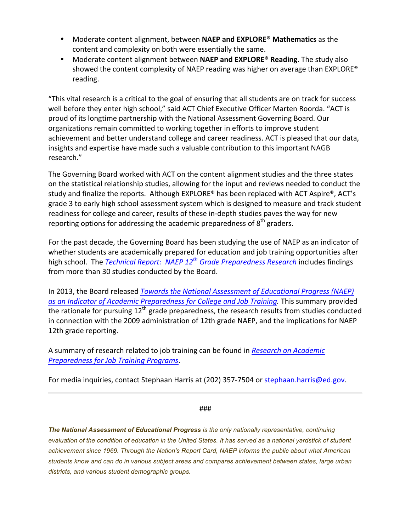- • Moderate content alignment, between **NAEP and EXPLORE® Mathematics** as the content and complexity on both were essentially the same.
- Moderate content alignment between **NAEP and EXPLORE<sup>®</sup> Reading**. The study also showed the content complexity of NAEP reading was higher on average than EXPLORE<sup>®</sup> reading.

"This vital research is a critical to the goal of ensuring that all students are on track for success well before they enter high school," said ACT Chief Executive Officer Marten Roorda. "ACT is proud of its longtime partnership with the National Assessment Governing Board. Our organizations remain committed to working together in efforts to improve student achievement and better understand college and career readiness. ACT is pleased that our data, insights and expertise have made such a valuable contribution to this important NAGB research."

The Governing Board worked with ACT on the content alignment studies and the three states on the statistical relationship studies, allowing for the input and reviews needed to conduct the study and finalize the reports. Although  $EXPLORE^*$  has been replaced with ACT Aspire<sup>®</sup>, ACT's grade 3 to early high school assessment system which is designed to measure and track student readiness for college and career, results of these in-depth studies paves the way for new reporting options for addressing the academic preparedness of  $8<sup>th</sup>$  graders.

For the past decade, the Governing Board has been studying the use of NAEP as an indicator of whether students are academically prepared for education and job training opportunities after high school. The *Technical Report: NAEP 12<sup>th</sup> [Grade Preparedness Research](https://staging.nagb.org/what-we-do/preparedness-research.html)* includes findings from more than 30 studies conducted by the Board.

In 2013, the Board released *Towards the National Assessment of Educational Progress (NAEP) as an [Indicator of Academic Preparedness](https://staging.nagb.org/content/nagb/assets/documents/what-we-do/preparedness-research/NAGB-indicator-of-preparedness-report.pdf) for College and Job Training.* This summary provided the rationale for pursuing  $12<sup>th</sup>$  grade preparedness, the research results from studies conducted in connection with the 2009 administration of 12th grade NAEP, and the implications for NAEP 12th grade reporting.

A summary of research related to job training can be found in *[Research on Academic](https://staging.nagb.org/content/nagb/assets/documents/what-we-do/preparedness-research/nagb-job-training-report-102215.pdf) [Preparedness for Job Training Programs](https://staging.nagb.org/content/nagb/assets/documents/what-we-do/preparedness-research/nagb-job-training-report-102215.pdf)*.

For media inquiries, contact Stephaan Harris at (202) 357-7504 or stephaan.harris@ed.gov.

## ###

 *The National Assessment of Educational Progress is the only nationally representative, continuing*  evaluation of the condition of education in the United States. It has served as a national yardstick of student  *achievement since 1969. Through the Nation's Report Card, NAEP informs the public about what American students know and can do in various subject areas and compares achievement between states, large urban districts, and various student demographic groups.*